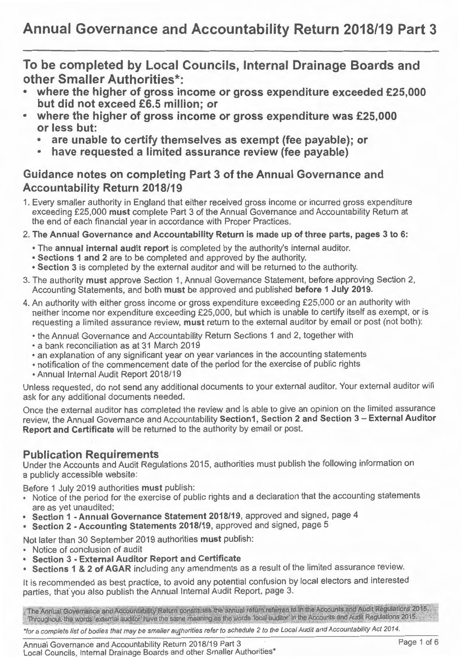**To be completed by Local Councils, Internal Drainage Boards and other Smaller Authorities\*:** 

- **where the higher of gross income or gross expenditure exceeded £25,000 but did not exceed £6.5 million; or**
- **where the higher of gross income or gross expenditure was £25,000 or less but:** 
	- **are unable to certify themselves as exempt (fee payable); or**
	- **have requested a limited assurance review (fee payable)**

## **Guidance notes on completing Part 3 of the Annual Governance and Accountability Return 2018/19**

- 1. Every smaller authority in England that either received gross income or incurred gross expenditure exceeding £25,000 **must** complete Part 3 of the Annual Governance and Accountability Return at the end of each financial year in accordance with Proper Practices.
- 2. **The Annual Governance and Accountability Return is made up of three parts, pages 3 to 6:** 
	- The **annual internal audit report** is completed by the authority's internal auditor.
	- **Sections 1 and 2** are to be completed and approved by the authority.
	- **Section 3** is completed by the external auditor and will be returned to the authority.
- 3. The authority **must** approve Section 1, Annual Governance Statement, before approving Section 2, Accounting Statements, and both **must** be approved and published **before 1 July 2019.**
- 4. An authority with either gross income or gross expenditure exceeding £25,000 or an authority with neither income nor expenditure exceeding £25,000, but which is unable to certify itself as exempt, or is requesting a limited assurance review, **must** return to the external auditor by email or post (not both):
	- the Annual Governance and Accountability Return Sections 1 and 2, together with
	- a bank reconciliation as at 31 March 2019
	- an explanation of any significant year on year variances in the accounting statements
	- notification of the commencement date of the period for the exercise of public rights
	- Annual Internal Audit Report 2018/19

Unless requested, do not send any additional documents to your external auditor. Your external auditor will ask for any additional documents needed.

Once the external auditor has completed the review and is able to give an opinion on the limited assurance review, the Annual Governance and Accountability **Section1, Section 2 and Section 3- External Auditor Report and Certificate** will be returned to the authority by email or post.

## **Publication Requirements**

Under the Accounts and Audit Regulations 2015, authorities must publish the following information on a publicly accessible website:

Before 1 July 2019 authorities **must** publish:

- Notice of the period for the exercise of public rights and a declaration that the accounting statements are as yet unaudited;
- **Section 1 -Annual Governance Statement 2018/19,** approved and signed, page 4
- **Section 2 -Accounting Statements 2018/19,** approved and signed, page 5

Not later than 30 September 2019 authorities **must** publish:

- Notice of conclusion of audit
- **Section 3 - External Auditor Report and Certificate**
- **Sections 1 & 2 of AGAR** including any amendments as a result of the limited assurance review.

It is recommended as best practice, to avoid any potential confusion by local electors and interested parties, that' you also publish the Annual Internal Audit Report, page 3.

The Annual Governance and Accountability Return constitutes the annual return referred to in the Accounts and Audit Regulations 2015. Throughout, the words 'external auditor' have the same meaning as the words 'local auditor' in the Accounts and Audit Regulations 2015.

\*for a complete list of bodies that may be smaller authorities refer to schedule 2 to the Local Audit and Accountability Act 2014.

Annual Governance and Accountability Return 2018/19 Part 3 Local Councils, Internal Drainage Boards and other Smaller Authorities\*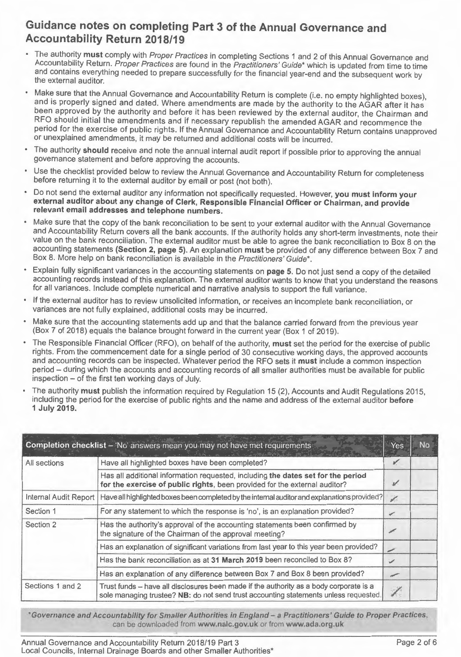## Guidance notes on completing Part 3 of the Annual Governance and Accountability Return 2018/19

- The authority must comply with Proper Practices in completing Sections 1 and 2 of this Annual Governance and Accountability Return. Proper Practices are found in the Practitioners' Guide\* which is updated from time to time and contains everything needed to prepare successfully for the financial year-end and the subsequent work by the external auditor.
- Make sure that the Annual Governance and Accountability Return is complete (i.e. no empty highlighted boxes), and is properly signed and dated. Where amendments are made by the authority to the AGAR after it has been approved by the authority and before it has been reviewed by the external auditor, the Chairman and RFO should initial the amendments and if necessary republish the amended AGAR and recommence the period for the exercise of public rights. If the Annual Governance and Accountability Return contains unapproved or unexplained amendments, it may be returned and additional costs will be incurred.
- The authority should receive and note the annual internal audit report if possible prior to approving the annual governance statement and before approving the accounts.
- Use the checklist provided below to review the Annual Governance and Accountability Return for completeness before returning it to the external auditor by email or post (not both).
- Do not send the external auditor any information not specifically requested. However, you must inform your external auditor about any change of Clerk, Responsible Financial Officer or Chairman, and provide relevant email addresses and telephone numbers.
- Make sure that the copy of the bank reconciliation to be sent to your external auditor with the Annual Governance and Accountability Return covers all the bank accounts. If the authority holds any short-term investments, note their value on the bank reconciliation . The external auditor must be able to agree the bank reconciliation to Box 8 on the accounting statements (Section 2, page 5). An explanation must be provided of any difference between Box 7 and Box 8. More help on bank reconciliation is available in the Practitioners' Guide\*.
- Explain fully significant variances in the accounting statements on page 5. Do not just send a copy of the detailed accounting records instead of this explanation. The external auditor wants to know that you understand the reasons for all variances. Include complete numerical and narrative analysis to support the full variance.
- If the external auditor has to review unsolicited information, or receives an incomplete bank reconciliation, or variances are not fully explained, additional costs may be incurred.
- Make sure that the accounting statements add up and that the balance carried forward from the previous year (Box 7 of 2018) equals the balance brought forward in the current year (Box 1 of 2019).
- The Responsible Financial Officer (RFO), on behalf of the authority, must set the period for the exercise of public rights . From the commencement date for a single period of 30 consecutive working days, the approved accounts and accounting records can be inspected. Whatever period the RFO sets it must include a common inspection period- during which the accounts and accounting records of all smaller authorities must be available for public inspection – of the first ten working days of July.
- The authority must publish the information required by Regulation 15 (2), Accounts and Audit Regulations 2015, including the period for the exercise of public rights and the name and address of the external auditor before 1 July 2019.

| Completion checklist - 'No' answers mean you may not have met requirements |                                                                                                                                                                                |        | <b>No</b> |
|----------------------------------------------------------------------------|--------------------------------------------------------------------------------------------------------------------------------------------------------------------------------|--------|-----------|
| All sections                                                               | Have all highlighted boxes have been completed?                                                                                                                                |        |           |
|                                                                            | Has all additional information requested, including the dates set for the period<br>for the exercise of public rights, been provided for the external auditor?                 | D.     |           |
| Internal Audit Report                                                      | Have all highlighted boxes been completed by the internal auditor and explanations provided?                                                                                   |        |           |
| Section 1                                                                  | For any statement to which the response is 'no', is an explanation provided?                                                                                                   |        |           |
| Section 2                                                                  | Has the authority's approval of the accounting statements been confirmed by<br>the signature of the Chairman of the approval meeting?                                          | F.     |           |
|                                                                            | Has an explanation of significant variations from last year to this year been provided?                                                                                        | ╱      |           |
|                                                                            | Has the bank reconciliation as at 31 March 2019 been reconciled to Box 8?                                                                                                      | ✓      |           |
|                                                                            | Has an explanation of any difference between Box 7 and Box 8 been provided?                                                                                                    | $\sim$ |           |
| Sections 1 and 2                                                           | Trust funds - have all disclosures been made if the authority as a body corporate is a<br>sole managing trustee? NB: do not send trust accounting statements unless requested. |        |           |

\*Governance and Accountability for Smaller Authorities in England- a Practitioners' Guide to Proper Practices, can be downloaded from www.nalc.gov.uk or from www.ada.org.uk

Annual Governance and Accountability Return 2018/19 Part 3 Page 2 of 6 Local Councils, Internal Drainage Boards and other Smaller Authorities\*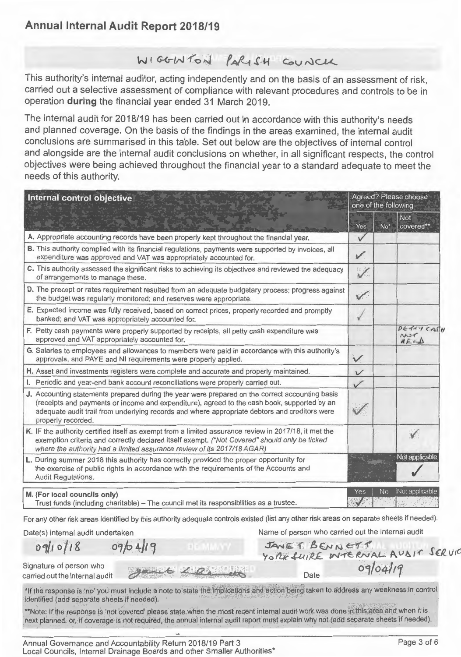# **Annual Internal Audit Report 2018/19**

# WIGGINTON PARISH COUNCH

This authority's internal auditor, acting independently and on the basis of an assessment of risk, carried out a selective assessment of compliance with relevant procedures and controls to be in operation **during** the financial year ended 31 March 2019.

The internal audit for 2018/19 has been carried out in accordance with this authority's needs and planned coverage. On the basis of the findings in the areas examined, the internal audit conclusions are summarised in this table. Set out below are the objectives of internal control and alongside are the internal audit conclusions on whether, in all significant respects, the control objectives were being achieved throughout the financial year to a standard adequate to meet the needs of this authority.

| Internal control objective                                                                                                                                                                                                                                                                                            |               | Agreed? Please choose<br>one of the following |                                                   |  |
|-----------------------------------------------------------------------------------------------------------------------------------------------------------------------------------------------------------------------------------------------------------------------------------------------------------------------|---------------|-----------------------------------------------|---------------------------------------------------|--|
|                                                                                                                                                                                                                                                                                                                       | Yes           | $No*$                                         | <b>Not</b><br>covered**                           |  |
| A. Appropriate accounting records have been properly kept throughout the financial year.                                                                                                                                                                                                                              | $\vee$        |                                               |                                                   |  |
| B. This authority complied with its financial regulations, payments were supported by invoices, all<br>expenditure was approved and VAT was appropriately accounted for.                                                                                                                                              | $\mathscr{I}$ |                                               |                                                   |  |
| C. This authority assessed the significant risks to achieving its objectives and reviewed the adequacy<br>of arrangements to manage these.                                                                                                                                                                            | $\checkmark$  |                                               |                                                   |  |
| D. The precept or rates requirement resulted from an adequate budgetary process; progress against<br>the budget was regularly monitored; and reserves were appropriate.                                                                                                                                               | $\checkmark$  |                                               |                                                   |  |
| E. Expected income was fully received, based on correct prices, properly recorded and promptly<br>banked; and VAT was appropriately accounted for.                                                                                                                                                                    |               |                                               |                                                   |  |
| F. Petty cash payments were properly supported by receipts, all petty cash expenditure was<br>approved and VAT appropriately accounted for.                                                                                                                                                                           |               |                                               | DERNY CASH<br>NU <sub>1</sub><br>$H E \in \Delta$ |  |
| G. Salaries to employees and allowances to members were paid in accordance with this authority's<br>approvals, and PAYE and NI requirements were properly applied.                                                                                                                                                    | $\checkmark$  |                                               |                                                   |  |
| H. Asset and investments registers were complete and accurate and properly maintained.                                                                                                                                                                                                                                | $\sqrt{}$     |                                               |                                                   |  |
| I. Periodic and year-end bank account reconciliations were properly carried out.                                                                                                                                                                                                                                      | $\checkmark$  |                                               |                                                   |  |
| J. Accounting statements prepared during the year were prepared on the correct accounting basis<br>(receipts and payments or income and expenditure), agreed to the cash book, supported by an<br>adequate audit trail from underlying records and where appropriate debtors and creditors were<br>properly recorded. |               |                                               |                                                   |  |
| K. IF the authority certified itself as exempt from a limited assurance review in 2017/18, it met the<br>exemption criteria and correctly declared itself exempt. ("Not Covered" should only be ticked<br>where the authority had a limited assurance review of its 2017/18 AGAR)                                     |               |                                               | $\checkmark$                                      |  |
| L. During summer 2018 this authority has correctly provided the proper opportunity for<br>the exercise of public rights in accordance with the requirements of the Accounts and<br>Audit Regulations.                                                                                                                 |               |                                               | Not applicable                                    |  |
| M. (For local councils only)<br>Trust funds (including charitable) - The council met its responsibilities as a trustee.                                                                                                                                                                                               | Yes           | <b>No</b>                                     | Not applicable                                    |  |

For any other risk areas identified by this authority adequate controls existed (list any other risk areas on separate sheets if needed).

Date(s) internal audit undertaken

09/10/18 09/04/19

Name of person who carried out the internal audit JANE & BENNETT<br>YORK *LUIRE* WTERNAL AVSIT

Signature of person who carried out the internal audit

 $Date$   $09/04/19$ 

\*If the response is 'no' you must include a note to state the implications and action being taken to address any weakness in control identified (add separate sheets if needed).

\*\*Note: If the response is 'not covered' please state when the most recent internal audit work was done in this area and when it is next planned, or, if coverage is not required, the annual internal audit report must explain why not (add separate sheets if needed).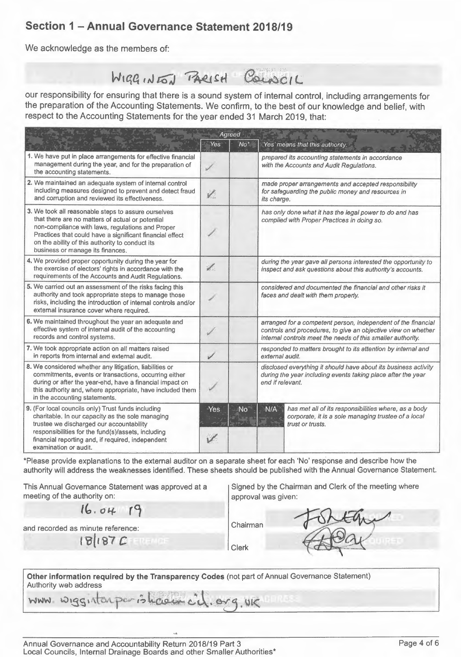# **Section 1 - Annual Governance Statement 2018/19**

We acknowledge as the members of:

WIGGINES PARISH COLORIL

our responsibility for ensuring that there is a sound system of internal control, including arrangements for respect to the Accounting Statements for the year ended 31 March 2019, that:

| the preparation of the Accounting Statements. We confirm, to the best of our knowledge and belief, with<br>respect to the Accounting Statements for the year ended 31 March 2019, that:                                                                                                                        |              |                 |                                                                                                                                                                                               |                                                                                                                                 |  |
|----------------------------------------------------------------------------------------------------------------------------------------------------------------------------------------------------------------------------------------------------------------------------------------------------------------|--------------|-----------------|-----------------------------------------------------------------------------------------------------------------------------------------------------------------------------------------------|---------------------------------------------------------------------------------------------------------------------------------|--|
|                                                                                                                                                                                                                                                                                                                | Yes          | Agreed<br>$No*$ |                                                                                                                                                                                               | 'Yes' means that this authority:                                                                                                |  |
| 1. We have put in place arrangements for effective financial<br>management during the year, and for the preparation of<br>the accounting statements.                                                                                                                                                           | s            |                 | prepared its accounting statements in accordance<br>with the Accounts and Audit Regulations.                                                                                                  |                                                                                                                                 |  |
| 2. We maintained an adequate system of internal control<br>including measures designed to prevent and detect fraud<br>and corruption and reviewed its effectiveness.                                                                                                                                           | V.           |                 | made proper arrangements and accepted responsibility<br>for safeguarding the public money and resources in<br>its charge.                                                                     |                                                                                                                                 |  |
| 3. We took all reasonable steps to assure ourselves<br>that there are no matters of actual or potential<br>non-compliance with laws, regulations and Proper<br>Practices that could have a significant financial effect<br>on the ability of this authority to conduct its<br>business or manage its finances. |              |                 | has only done what it has the legal power to do and has<br>complied with Proper Practices in doing so.                                                                                        |                                                                                                                                 |  |
| 4. We provided proper opportunity during the year for<br>the exercise of electors' rights in accordance with the<br>requirements of the Accounts and Audit Regulations.                                                                                                                                        | J.           |                 | during the year gave all persons interested the opportunity to<br>inspect and ask questions about this authority's accounts.                                                                  |                                                                                                                                 |  |
| 5. We carried out an assessment of the risks facing this<br>authority and took appropriate steps to manage those<br>risks, including the introduction of internal controls and/or<br>external insurance cover where required.                                                                                  |              |                 | considered and documented the financial and other risks it<br>faces and dealt with them properly.                                                                                             |                                                                                                                                 |  |
| 6. We maintained throughout the year an adequate and<br>effective system of internal audit of the accounting<br>records and control systems.                                                                                                                                                                   |              |                 | arranged for a competent person, independent of the financial<br>controls and procedures, to give an objective view on whether<br>internal controls meet the needs of this smaller authority. |                                                                                                                                 |  |
| 7. We took appropriate action on all matters raised<br>in reports from internal and external audit.                                                                                                                                                                                                            | $\checkmark$ |                 | responded to matters brought to its attention by internal and<br>external audit.                                                                                                              |                                                                                                                                 |  |
| 8. We considered whether any litigation, liabilities or<br>commitments, events or transactions, occurring either<br>during or after the year-end, have a financial impact on<br>this authority and, where appropriate, have included them<br>in the accounting statements.                                     |              |                 | disclosed everything it should have about its business activity<br>during the year including events taking place after the year<br>end if relevant.                                           |                                                                                                                                 |  |
| 9. (For local councils only) Trust funds including<br>charitable. In our capacity as the sole managing<br>trustee we discharged our accountability<br>responsibilities for the fund(s)/assets, including<br>financial reporting and, if required, independent<br>examination or audit.                         | Yes<br>V     | No              | N/A                                                                                                                                                                                           | has met all of its responsibilities where, as a body<br>corporate, it is a sole managing trustee of a local<br>trust or trusts. |  |

\*Please provide explanations to the external auditor on a separate sheet for each 'No' response and describe how the authority will address the weaknesses identified. These sheets should be published with the Annual Governance Statement.

This Annual Governance Statement was approved at a meeting of the authority on:

Signed by the Chairman and Clerk of the meeting where approval was given:

*t6 . o '+* **r9** 

and recorded as minute reference: Chairman

**f'a{t97C c** clerk **clerk** 



| Other information required by the Transparency Codes (not part of Annual Governance Statement) |
|------------------------------------------------------------------------------------------------|
| Authority web address                                                                          |
| www wiggistosperiologist cit. org. UK                                                          |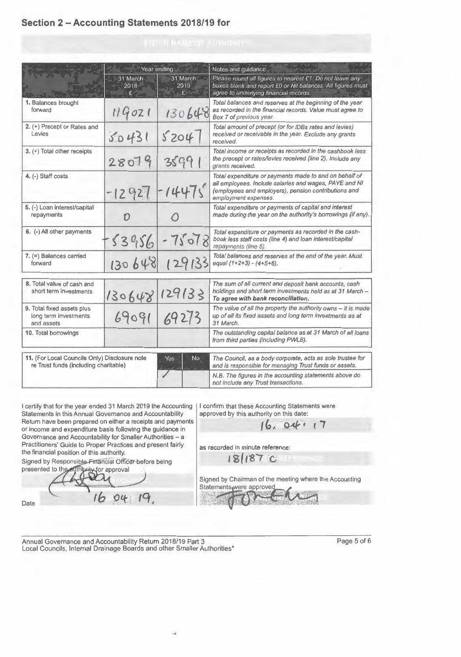#### **Section 2- Accounting Statements 2018/19 for**

|                                                                                        | Year ending             |                       | Notes and guidance                                                                                                                                                                               |  |  |
|----------------------------------------------------------------------------------------|-------------------------|-----------------------|--------------------------------------------------------------------------------------------------------------------------------------------------------------------------------------------------|--|--|
|                                                                                        | 31 March<br>2018<br>£ - | 31 March<br>2019<br>£ | Please round all figures to nearest £1. Do not leave any<br>boxes blank and report £0 or Nil balances. All figures must<br>agree to underlying financial records.                                |  |  |
| 1. Balances brought<br>forward                                                         | 119021                  | 130648                | Total balances and reserves at the beginning of the year<br>as recorded in the financial records. Value must agree to<br>Box 7 of previous year.                                                 |  |  |
| 2. (+) Precept or Rates and<br>Levies                                                  | 50431                   | \$204                 | Total amount of precept (or for IDBs rates and levies)<br>received or receivable in the year. Exclude any grants<br>received.                                                                    |  |  |
| 3. (+) Total other receipts                                                            | 28079                   | 35991                 | Total income or receipts as recorded in the cashbook less<br>the precept or rates/levies received (line 2). Include any<br>grants received.                                                      |  |  |
| 4. (-) Staff costs                                                                     | $-12927$                | 1447s                 | Total expenditure or payments made to and on behalf of<br>all employees. Include salaries and wages, PAYE and NI<br>(employees and employers), pension contributions and<br>employment expenses. |  |  |
| 5. (-) Loan interest/capital<br>repayments                                             | D                       | $\bigcap$             | Total expenditure or payments of capital and interest<br>made dunng the year on the authority's borrowings (if any).                                                                             |  |  |
| 6. (-) All other payments                                                              | $-53956$                | $-75078$              | Total expenditure or payments as recorded in the cash-<br>book less staff costs (line 4) and loan interest/capital<br>repayments (line 5).                                                       |  |  |
| $7.$ (=) Balances carried<br>forward                                                   | 130648                  | 129133                | Total balances and reserves at the end of the year. Must<br>equal $(1+2+3) - (4+5+6)$ .                                                                                                          |  |  |
| 8. Total value of cash and<br>short term investments                                   | 130648                  | 129/33                | The sum of all current and deposit bank accounts, cash<br>holdings and short term investments held as at 31 March -<br>To agree with bank reconciliation.                                        |  |  |
| 9. Total fixed assets plus<br>long term investments<br>and assets                      | 69091                   | 69273                 | The value of all the property the authority owns $-$ it is made<br>up of all its fixed assets and long term investments as at<br>31 March.                                                       |  |  |
| 10. Total borrowings                                                                   |                         |                       | The outstanding capital balance as at 31 March of all loans<br>from third parties (including PWLB).                                                                                              |  |  |
| 11. (For Local Councils Only) Disclosure note<br>re Trust funds (including charitable) |                         | No.<br>Yes            | The Council, as a body corporate, acts as sole trustee for<br>and is responsible for managing Trust funds or assets.                                                                             |  |  |
|                                                                                        |                         |                       | N.B. The figures in the accounting statements above do<br>not include any Trust transactions.                                                                                                    |  |  |

I certify that for the year ended 31 March 2019 the Accounting | Statements in this Annual Governance and Accountability Return have been prepared on either a receipts and payments or income and expenditure basis following the guidance in Governance and Accountability for Smaller Authorities- a Practitioners' Guide to Proper Practices and present fairly the financial position of this authority.

Signed by Responsible-Financial Officer before being presented to the authority for approval

 $16$ 

Date

I confirm that these Accounting Statements were approved by this authority on this date:

**(b, o4"· r 7** 

as recorded in minute reference:

**18(t'8r c** 

Signed by Chairman of the meeting where the Accounting Signed by Chairman of the meeting where the Account<br>Statements were approved<br>statements of the contract of the contract of the contract of the contract of the contract of the contract of

Annual Governance and Accountability Return 2018/19 Part 3 Page 5 of 6 Local Councils, Internal Drainage Boards and other Smaller Authorities\*

04

 $\mathsf{I}^{\mathsf{G}}$